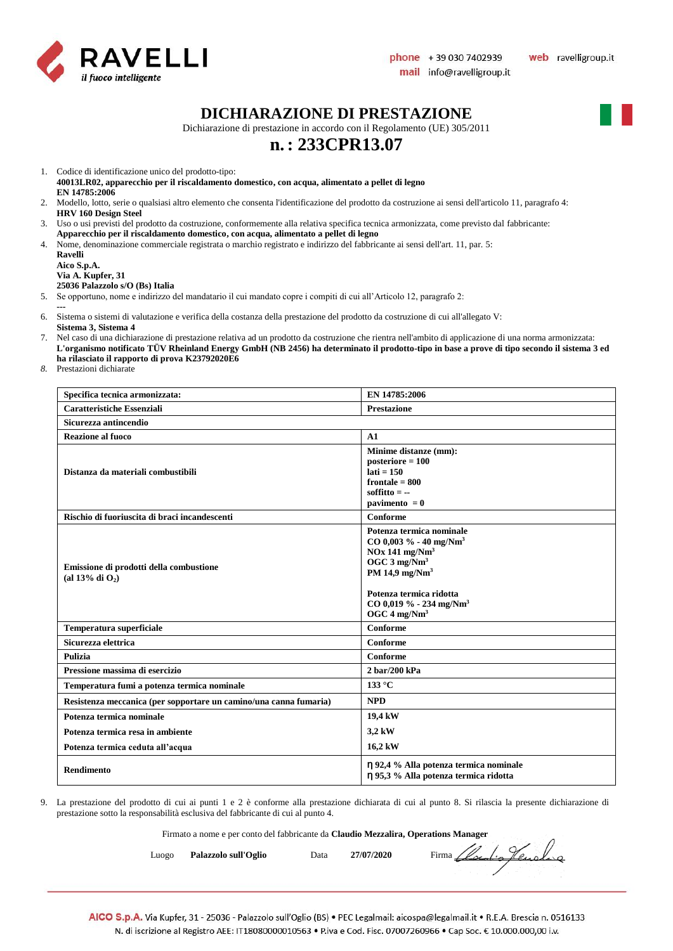

#### **DICHIARAZIONE DI PRESTAZIONE**

Dichiarazione di prestazione in accordo con il Regolamento (UE) 305/2011

# **n.: 233CPR13.07**

1. Codice di identificazione unico del prodotto-tipo:

**40013LR02, apparecchio per il riscaldamento domestico, con acqua, alimentato a pellet di legno EN 14785:2006**

- 2. Modello, lotto, serie o qualsiasi altro elemento che consenta l'identificazione del prodotto da costruzione ai sensi dell'articolo 11, paragrafo 4: **HRV 160 Design Steel**
- 3. Uso o usi previsti del prodotto da costruzione, conformemente alla relativa specifica tecnica armonizzata, come previsto dal fabbricante:
- **Apparecchio per il riscaldamento domestico, con acqua, alimentato a pellet di legno**
- 4. Nome, denominazione commerciale registrata o marchio registrato e indirizzo del fabbricante ai sensi dell'art. 11, par. 5: **Ravelli**

| кауеш       |                                 |
|-------------|---------------------------------|
| Aico S.p.A. |                                 |
|             | Via A. Kupfer, 31               |
|             | 25036 Palazzolo s/O (Bs) Italia |

5. Se opportuno, nome e indirizzo del mandatario il cui mandato copre i compiti di cui all'Articolo 12, paragrafo 2:

- **---**
- 6. Sistema o sistemi di valutazione e verifica della costanza della prestazione del prodotto da costruzione di cui all'allegato V: **Sistema 3, Sistema 4**
- 7. Nel caso di una dichiarazione di prestazione relativa ad un prodotto da costruzione che rientra nell'ambito di applicazione di una norma armonizzata: **L'organismo notificato TÜV Rheinland Energy GmbH (NB 2456) ha determinato il prodotto-tipo in base a prove di tipo secondo il sistema 3 ed ha rilasciato il rapporto di prova K23792020E6**
- *8.* Prestazioni dichiarate

| Specifica tecnica armonizzata:                                    | EN 14785:2006                                                                                                                                                                                                                                      |  |
|-------------------------------------------------------------------|----------------------------------------------------------------------------------------------------------------------------------------------------------------------------------------------------------------------------------------------------|--|
| <b>Caratteristiche Essenziali</b>                                 | <b>Prestazione</b>                                                                                                                                                                                                                                 |  |
| Sicurezza antincendio                                             |                                                                                                                                                                                                                                                    |  |
| <b>Reazione al fuoco</b>                                          | A1                                                                                                                                                                                                                                                 |  |
| Distanza da materiali combustibili                                | Minime distanze (mm):<br>$posterior = 100$<br>$lati = 150$<br>frontale $= 800$<br>soffitto $= -$<br>pavimento $= 0$                                                                                                                                |  |
| Rischio di fuoriuscita di braci incandescenti                     | Conforme                                                                                                                                                                                                                                           |  |
| Emissione di prodotti della combustione<br>(al 13% di $O_2$ )     | Potenza termica nominale<br>$CO$ 0,003 % - 40 mg/Nm <sup>3</sup><br>$NOx$ 141 mg/ $Nm3$<br>OGC $3 \text{ mg}/\text{Nm}^3$<br>PM 14,9 mg/ $Nm3$<br>Potenza termica ridotta<br>CO 0,019 % - 234 mg/Nm <sup>3</sup><br>OGC $4 \text{ mg}/\text{Nm}^3$ |  |
| Temperatura superficiale                                          | Conforme                                                                                                                                                                                                                                           |  |
| Sicurezza elettrica                                               | Conforme                                                                                                                                                                                                                                           |  |
| Pulizia                                                           | Conforme                                                                                                                                                                                                                                           |  |
| Pressione massima di esercizio                                    | $2 \,\mathrm{bar}/200 \,\mathrm{kPa}$                                                                                                                                                                                                              |  |
| Temperatura fumi a potenza termica nominale                       | $133^{\circ}$ C                                                                                                                                                                                                                                    |  |
| Resistenza meccanica (per sopportare un camino/una canna fumaria) | <b>NPD</b>                                                                                                                                                                                                                                         |  |
| Potenza termica nominale                                          | 19,4 kW                                                                                                                                                                                                                                            |  |
| Potenza termica resa in ambiente                                  | 3,2 kW                                                                                                                                                                                                                                             |  |
| Potenza termica ceduta all'acqua                                  | 16,2 kW                                                                                                                                                                                                                                            |  |
| <b>Rendimento</b>                                                 | η 92,4 % Alla potenza termica nominale<br>η 95,3 % Alla potenza termica ridotta                                                                                                                                                                    |  |

9. La prestazione del prodotto di cui ai punti 1 e 2 è conforme alla prestazione dichiarata di cui al punto 8. Si rilascia la presente dichiarazione di prestazione sotto la responsabilità esclusiva del fabbricante di cui al punto 4.

Firmato a nome e per conto del fabbricante da **Claudio Mezzalira, Operations Manager**

Luogo **Palazzolo sull'Oglio** Data 27/07/2020 Firma *Local of Curola* qu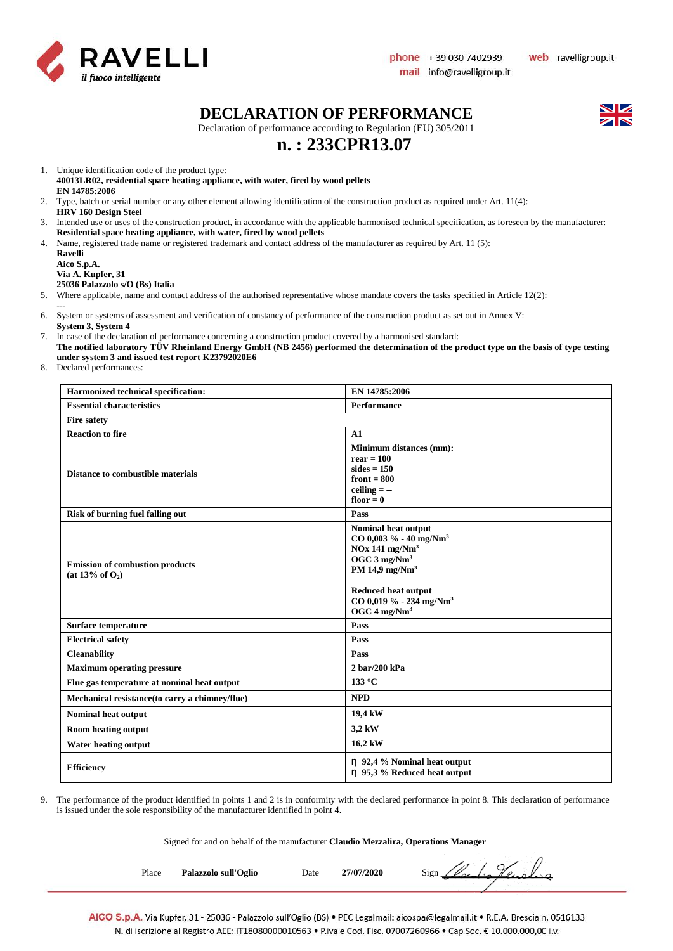

#### **DECLARATION OF PERFORMANCE**

Declaration of performance according to Regulation (EU) 305/2011

# **n. : 233CPR13.07**

1. Unique identification code of the product type:

- **40013LR02, residential space heating appliance, with water, fired by wood pellets EN 14785:2006**
- 2. Type, batch or serial number or any other element allowing identification of the construction product as required under Art. 11(4): **HRV 160 Design Steel**
- 3. Intended use or uses of the construction product, in accordance with the applicable harmonised technical specification, as foreseen by the manufacturer: **Residential space heating appliance, with water, fired by wood pellets**
- 4. Name, registered trade name or registered trademark and contact address of the manufacturer as required by Art. 11 (5):

**Ravelli Aico S.p.A. Via A. Kupfer, 31**

**25036 Palazzolo s/O (Bs) Italia**

- 5. Where applicable, name and contact address of the authorised representative whose mandate covers the tasks specified in Article 12(2):
- **---** 6. System or systems of assessment and verification of constancy of performance of the construction product as set out in Annex V: **System 3, System 4**
- 7. In case of the declaration of performance concerning a construction product covered by a harmonised standard:
- **The notified laboratory TÜV Rheinland Energy GmbH (NB 2456) performed the determination of the product type on the basis of type testing under system 3 and issued test report K23792020E6**
- 8. Declared performances:

| Harmonized technical specification:                             | EN 14785:2006                                                                                                                                                                                                                                 |  |
|-----------------------------------------------------------------|-----------------------------------------------------------------------------------------------------------------------------------------------------------------------------------------------------------------------------------------------|--|
| <b>Essential characteristics</b>                                | Performance                                                                                                                                                                                                                                   |  |
| <b>Fire safety</b>                                              |                                                                                                                                                                                                                                               |  |
| <b>Reaction to fire</b>                                         | A1                                                                                                                                                                                                                                            |  |
| <b>Distance to combustible materials</b>                        | Minimum distances (mm):<br>$rear = 100$<br>sides $= 150$<br>front $= 800$<br>ceiling $= -$<br>floor $= 0$                                                                                                                                     |  |
| <b>Risk of burning fuel falling out</b>                         | Pass                                                                                                                                                                                                                                          |  |
| <b>Emission of combustion products</b><br>(at $13\%$ of $O_2$ ) | Nominal heat output<br>$CO$ 0,003 % - 40 mg/Nm <sup>3</sup><br>$NOx$ 141 mg/ $Nm3$<br>OGC $3$ mg/Nm <sup>3</sup><br>PM 14,9 $mg/Nm3$<br><b>Reduced heat output</b><br>$CO$ 0,019 % - 234 mg/Nm <sup>3</sup><br>OGC $4 \text{ mg}/\text{Nm}^3$ |  |
| Surface temperature                                             | Pass                                                                                                                                                                                                                                          |  |
| <b>Electrical safety</b>                                        | Pass                                                                                                                                                                                                                                          |  |
| <b>Cleanability</b>                                             | Pass                                                                                                                                                                                                                                          |  |
| <b>Maximum operating pressure</b>                               | 2 bar/200 kPa                                                                                                                                                                                                                                 |  |
| Flue gas temperature at nominal heat output                     | 133 $\degree$ C                                                                                                                                                                                                                               |  |
| Mechanical resistance(to carry a chimney/flue)                  | <b>NPD</b>                                                                                                                                                                                                                                    |  |
| Nominal heat output                                             | 19,4 kW                                                                                                                                                                                                                                       |  |
| <b>Room heating output</b>                                      | 3,2 kW                                                                                                                                                                                                                                        |  |
| <b>Water heating output</b>                                     | 16,2 kW                                                                                                                                                                                                                                       |  |
| <b>Efficiency</b>                                               | $\eta$ 92,4 % Nominal heat output<br>n 95,3 % Reduced heat output                                                                                                                                                                             |  |

9. The performance of the product identified in points 1 and 2 is in conformity with the declared performance in point 8. This declaration of performance is issued under the sole responsibility of the manufacturer identified in point 4.

Signed for and on behalf of the manufacturer **Claudio Mezzalira, Operations Manager**

Place **Palazzolo sull'Oglio** Date 27/07/2020 Sign *(local-a)* Lengthero

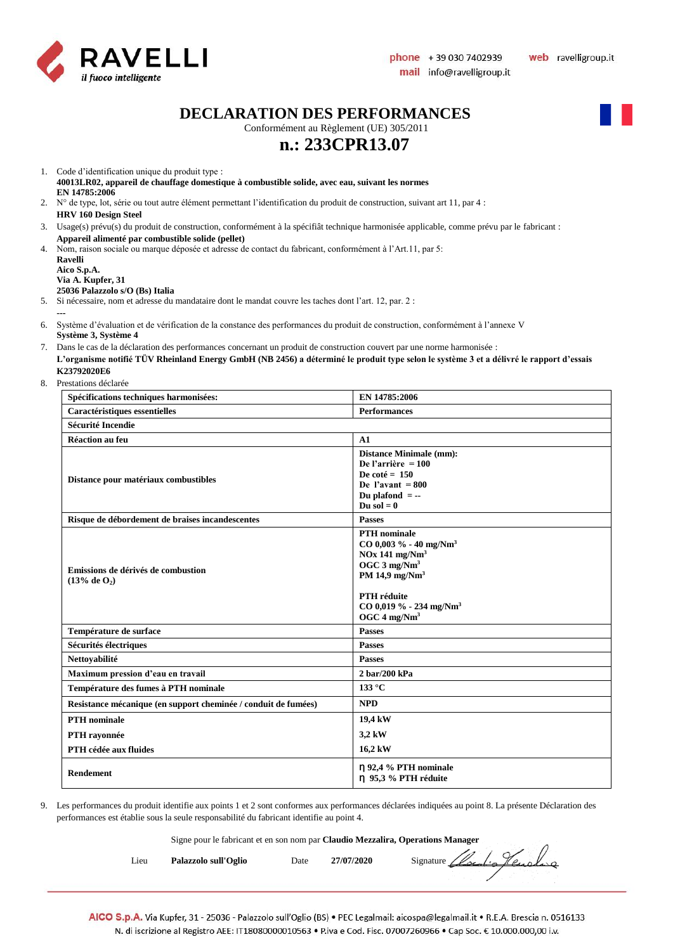

**DECLARATION DES PERFORMANCES**

Conformément au Règlement (UE) 305/2011

# **n.: 233CPR13.07**

- 1. Code d'identification unique du produit type : **40013LR02, appareil de chauffage domestique à combustible solide, avec eau, suivant les normes EN 14785:2006**
- 2. N° de type, lot, série ou tout autre élément permettant l'identification du produit de construction, suivant art 11, par 4 : **HRV 160 Design Steel**
- 3. Usage(s) prévu(s) du produit de construction, conformément à la spécifiât technique harmonisée applicable, comme prévu par le fabricant : **Appareil alimenté par combustible solide (pellet)**
- 4. Nom, raison sociale ou marque déposée et adresse de contact du fabricant, conformément à l'Art.11, par 5: **Ravelli**

**Aico S.p.A. Via A. Kupfer, 31**

**---**

#### **25036 Palazzolo s/O (Bs) Italia**

5. Si nécessaire, nom et adresse du mandataire dont le mandat couvre les taches dont l'art. 12, par. 2 :

- 6. Système d'évaluation et de vérification de la constance des performances du produit de construction, conformément à l'annexe V **Système 3, Système 4**
- 7. Dans le cas de la déclaration des performances concernant un produit de construction couvert par une norme harmonisée : **L'organisme notifié TÜV Rheinland Energy GmbH (NB 2456) a déterminé le produit type selon le système 3 et a délivré le rapport d'essais K23792020E6**
- 8. Prestations déclarée

| Spécifications techniques harmonisées:                         | EN 14785:2006                                                                                                                                                                                                                              |  |  |  |
|----------------------------------------------------------------|--------------------------------------------------------------------------------------------------------------------------------------------------------------------------------------------------------------------------------------------|--|--|--|
| Caractéristiques essentielles                                  | <b>Performances</b>                                                                                                                                                                                                                        |  |  |  |
| <b>Sécurité Incendie</b>                                       |                                                                                                                                                                                                                                            |  |  |  |
| <b>Réaction au feu</b>                                         | A1                                                                                                                                                                                                                                         |  |  |  |
| Distance pour matériaux combustibles                           | <b>Distance Minimale (mm):</b><br>De l'arrière = $100$<br>De coté = $150$<br>De l'avant = $800$<br>Du plafond $= -$<br>Du sol $= 0$                                                                                                        |  |  |  |
| Risque de débordement de braises incandescentes                | <b>Passes</b>                                                                                                                                                                                                                              |  |  |  |
| Emissions de dérivés de combustion<br>(13% de 0 <sub>2</sub> ) | <b>PTH</b> nominale<br>$CO$ 0,003 % - 40 mg/Nm <sup>3</sup><br>$NOx$ 141 mg/ $Nm3$<br>OGC $3 \text{ mg}/\text{Nm}^3$<br>PM 14,9 mg/ $Nm3$<br><b>PTH</b> réduite<br>$CO$ 0,019 % - 234 mg/Nm <sup>3</sup><br>OGC $4 \text{ mg}/\text{Nm}^3$ |  |  |  |
| Température de surface                                         | <b>Passes</b>                                                                                                                                                                                                                              |  |  |  |
| Sécurités électriques                                          | <b>Passes</b>                                                                                                                                                                                                                              |  |  |  |
| Nettoyabilité                                                  | <b>Passes</b>                                                                                                                                                                                                                              |  |  |  |
| Maximum pression d'eau en travail                              | 2 bar/200 kPa                                                                                                                                                                                                                              |  |  |  |
| Température des fumes à PTH nominale                           | $133^{\circ}$ C                                                                                                                                                                                                                            |  |  |  |
| Resistance mécanique (en support cheminée / conduit de fumées) | <b>NPD</b>                                                                                                                                                                                                                                 |  |  |  |
| <b>PTH</b> nominale                                            | 19,4 kW                                                                                                                                                                                                                                    |  |  |  |
| PTH rayonnée                                                   | 3,2 kW                                                                                                                                                                                                                                     |  |  |  |
| PTH cédée aux fluides                                          | 16,2 kW                                                                                                                                                                                                                                    |  |  |  |
| <b>Rendement</b>                                               | n 92,4 % PTH nominale<br>n 95,3 % PTH réduite                                                                                                                                                                                              |  |  |  |

9. Les performances du produit identifie aux points 1 et 2 sont conformes aux performances déclarées indiquées au point 8. La présente Déclaration des performances est établie sous la seule responsabilité du fabricant identifie au point 4.

Signe pour le fabricant et en son nom par **Claudio Mezzalira, Operations Manager**

| Lieu | Palazzolo sull'Oglio |  |
|------|----------------------|--|
|      |                      |  |

Date 27/07/2020 Signature *Local of Curcles*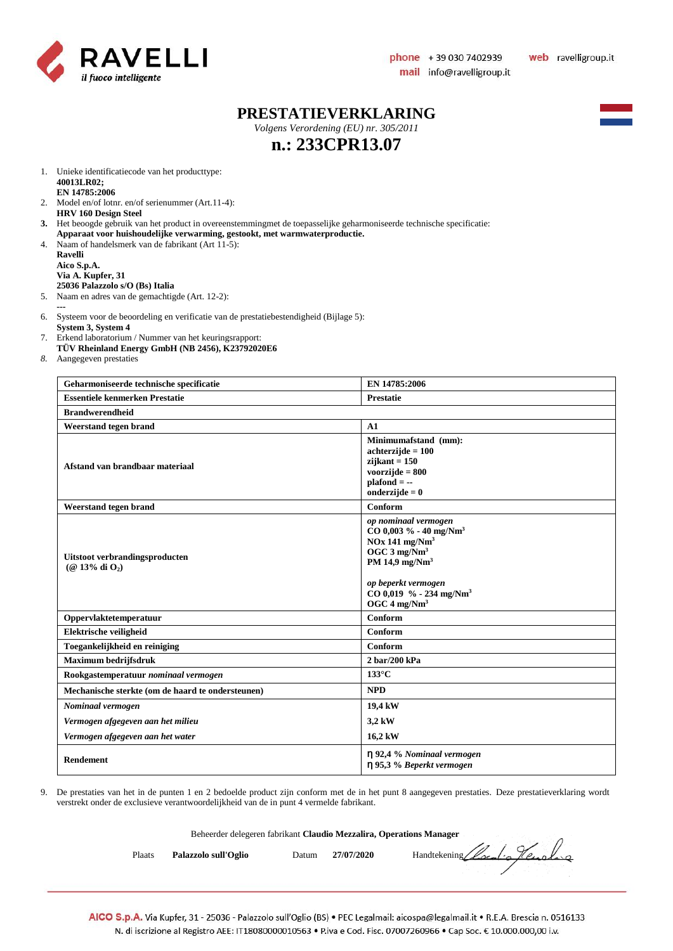

#### **PRESTATIEVERKLARING**

*Volgens Verordening (EU) nr. 305/2011*



# **n.: 233CPR13.07**

- 1. Unieke identificatiecode van het producttype: **40013LR02; EN 14785:2006**
- 2. Model en/of lotnr. en/of serienummer (Art.11-4): **HRV 160 Design Steel**
- **3.** Het beoogde gebruik van het product in overeenstemmingmet de toepasselijke geharmoniseerde technische specificatie:
- **Apparaat voor huishoudelijke verwarming, gestookt, met warmwaterproductie.** 4. Naam of handelsmerk van de fabrikant (Art 11-5):
- **Ravelli Aico S.p.A. Via A. Kupfer, 31 25036 Palazzolo s/O (Bs) Italia**
- 5. Naam en adres van de gemachtigde (Art. 12-2):
- **---** 6. Systeem voor de beoordeling en verificatie van de prestatiebestendigheid (Bijlage 5):
- **System 3, System 4**
- 7. Erkend laboratorium / Nummer van het keuringsrapport:
- **TÜV Rheinland Energy GmbH (NB 2456), K23792020E6**
- *8.* Aangegeven prestaties

| Geharmoniseerde technische specificatie               | EN 14785:2006                                                                                                                                                                                                                               |  |  |  |
|-------------------------------------------------------|---------------------------------------------------------------------------------------------------------------------------------------------------------------------------------------------------------------------------------------------|--|--|--|
| <b>Essentiele kenmerken Prestatie</b>                 | <b>Prestatie</b>                                                                                                                                                                                                                            |  |  |  |
| <b>Brandwerendheid</b>                                |                                                                                                                                                                                                                                             |  |  |  |
| Weerstand tegen brand                                 | A1                                                                                                                                                                                                                                          |  |  |  |
| Afstand van brandbaar materiaal                       | Minimumafstand (mm):<br>$achterzijde = 100$<br>$zijkant = 150$<br>voorzijde $= 800$<br>$plafond = -$<br>onderzijde $= 0$                                                                                                                    |  |  |  |
| Weerstand tegen brand                                 | Conform                                                                                                                                                                                                                                     |  |  |  |
| Uitstoot verbrandingsproducten<br>$(Q$ 13% di $O_2$ ) | op nominaal vermogen<br>$CO$ 0,003 % - 40 mg/Nm <sup>3</sup><br>$NOx$ 141 mg/ $Nm3$<br>OGC $3 \text{ mg}/\text{Nm}^3$<br>PM 14,9 $mg/Nm3$<br>op beperkt vermogen<br>$CO$ 0,019 % - 234 mg/Nm <sup>3</sup><br>OGC $4 \text{ mg}/\text{Nm}^3$ |  |  |  |
| Oppervlaktetemperatuur                                | Conform                                                                                                                                                                                                                                     |  |  |  |
| Elektrische veiligheid                                | Conform                                                                                                                                                                                                                                     |  |  |  |
| Toegankelijkheid en reiniging                         | Conform                                                                                                                                                                                                                                     |  |  |  |
| <b>Maximum bedrijfsdruk</b>                           | 2 bar/200 kPa                                                                                                                                                                                                                               |  |  |  |
| Rookgastemperatuur nominaal vermogen                  | $133^{\circ}$ C                                                                                                                                                                                                                             |  |  |  |
| Mechanische sterkte (om de haard te ondersteunen)     | <b>NPD</b>                                                                                                                                                                                                                                  |  |  |  |
| Nominaal vermogen                                     | 19,4 kW                                                                                                                                                                                                                                     |  |  |  |
| Vermogen afgegeven aan het milieu                     | 3,2 kW                                                                                                                                                                                                                                      |  |  |  |
| Vermogen afgegeven aan het water                      | 16,2 kW                                                                                                                                                                                                                                     |  |  |  |
| Rendement                                             | $\eta$ 92,4 % Nominaal vermogen<br>η 95,3 % Beperkt vermogen                                                                                                                                                                                |  |  |  |

9. De prestaties van het in de punten 1 en 2 bedoelde product zijn conform met de in het punt 8 aangegeven prestaties. Deze prestatieverklaring wordt verstrekt onder de exclusieve verantwoordelijkheid van de in punt 4 vermelde fabrikant.

|        | Beheerder delegeren fabrikant Claudio Mezzalira, Operations Manager |       |            |                               |
|--------|---------------------------------------------------------------------|-------|------------|-------------------------------|
| Plaats | Palazzolo sull'Oglio                                                | Datum | 27/07/2020 | Handtekening Clocatio Hensley |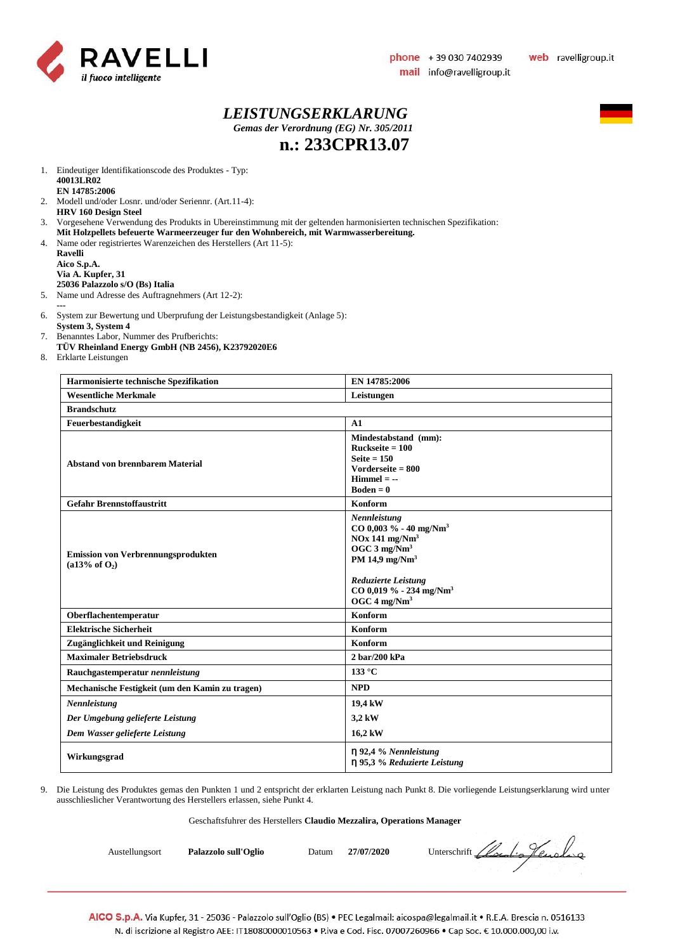

#### *LEISTUNGSERKLARUNG Gemas der Verordnung (EG) Nr. 305/2011* **n.: 233CPR13.07**



1. Eindeutiger Identifikationscode des Produktes - Typ: **40013LR02 EN 14785:2006**

- 2. Modell und/oder Losnr. und/oder Seriennr. (Art.11-4): **HRV 160 Design Steel**
- 3. Vorgesehene Verwendung des Produkts in Ubereinstimmung mit der geltenden harmonisierten technischen Spezifikation:
- **Mit Holzpellets befeuerte Warmeerzeuger fur den Wohnbereich, mit Warmwasserbereitung.**
- 4. Name oder registriertes Warenzeichen des Herstellers (Art 11-5):

**Ravelli Aico S.p.A. Via A. Kupfer, 31 25036 Palazzolo s/O (Bs) Italia**

5. Name und Adresse des Auftragnehmers (Art 12-2):

- **---** 6. System zur Bewertung und Uberprufung der Leistungsbestandigkeit (Anlage 5):
- **System 3, System 4** 7. Benanntes Labor, Nummer des Prufberichts:
- **TÜV Rheinland Energy GmbH (NB 2456), K23792020E6**
- 8. Erklarte Leistungen

| Harmonisierte technische Spezifikation                                 | EN 14785:2006                                                                                                                                                                                                                                |  |
|------------------------------------------------------------------------|----------------------------------------------------------------------------------------------------------------------------------------------------------------------------------------------------------------------------------------------|--|
| <b>Wesentliche Merkmale</b>                                            | Leistungen                                                                                                                                                                                                                                   |  |
| <b>Brandschutz</b>                                                     |                                                                                                                                                                                                                                              |  |
| Feuerbestandigkeit                                                     | A1                                                                                                                                                                                                                                           |  |
| <b>Abstand von brennbarem Material</b>                                 | Mindestabstand (mm):<br>$Ruckseite = 100$<br>Seite $= 150$<br>Vorderseite $= 800$<br>$Himmel = -$<br>$Boden = 0$                                                                                                                             |  |
| <b>Gefahr Brennstoffaustritt</b>                                       | Konform                                                                                                                                                                                                                                      |  |
| <b>Emission von Verbrennungsprodukten</b><br>(a13% of O <sub>2</sub> ) | Nennleistung<br>CO 0,003 % - 40 mg/Nm <sup>3</sup><br>$NOx$ 141 mg/ $Nm3$<br>OGC $3$ mg/Nm <sup>3</sup><br>PM 14,9 mg/Nm <sup>3</sup><br><b>Reduzierte Leistung</b><br>CO 0,019 % - 234 mg/Nm <sup>3</sup><br>OGC $4 \text{ mg}/\text{Nm}^3$ |  |
| Oberflachentemperatur                                                  | Konform                                                                                                                                                                                                                                      |  |
| <b>Elektrische Sicherheit</b>                                          | Konform                                                                                                                                                                                                                                      |  |
| Zugänglichkeit und Reinigung                                           | Konform                                                                                                                                                                                                                                      |  |
| <b>Maximaler Betriebsdruck</b>                                         | $2 \frac{\text{bar}}{200}$ kPa                                                                                                                                                                                                               |  |
| Rauchgastemperatur nennleistung                                        | 133 °C                                                                                                                                                                                                                                       |  |
| Mechanische Festigkeit (um den Kamin zu tragen)                        | <b>NPD</b>                                                                                                                                                                                                                                   |  |
| Nennleistung                                                           | 19,4 kW                                                                                                                                                                                                                                      |  |
| Der Umgebung gelieferte Leistung                                       | 3,2 kW                                                                                                                                                                                                                                       |  |
| Dem Wasser gelieferte Leistung                                         | 16,2 kW                                                                                                                                                                                                                                      |  |
| Wirkungsgrad                                                           | $\eta$ 92,4 % Nennleistung<br>η 95,3 % Reduzierte Leistung                                                                                                                                                                                   |  |

9. Die Leistung des Produktes gemas den Punkten 1 und 2 entspricht der erklarten Leistung nach Punkt 8. Die vorliegende Leistungserklarung wird unter ausschlieslicher Verantwortung des Herstellers erlassen, siehe Punkt 4.

#### Geschaftsfuhrer des Herstellers **Claudio Mezzalira, Operations Manager**

Austellungsort **Palazzolo sull'Oglio** Datum 27/07/2020 Unterschrift *Llocal Alexandre*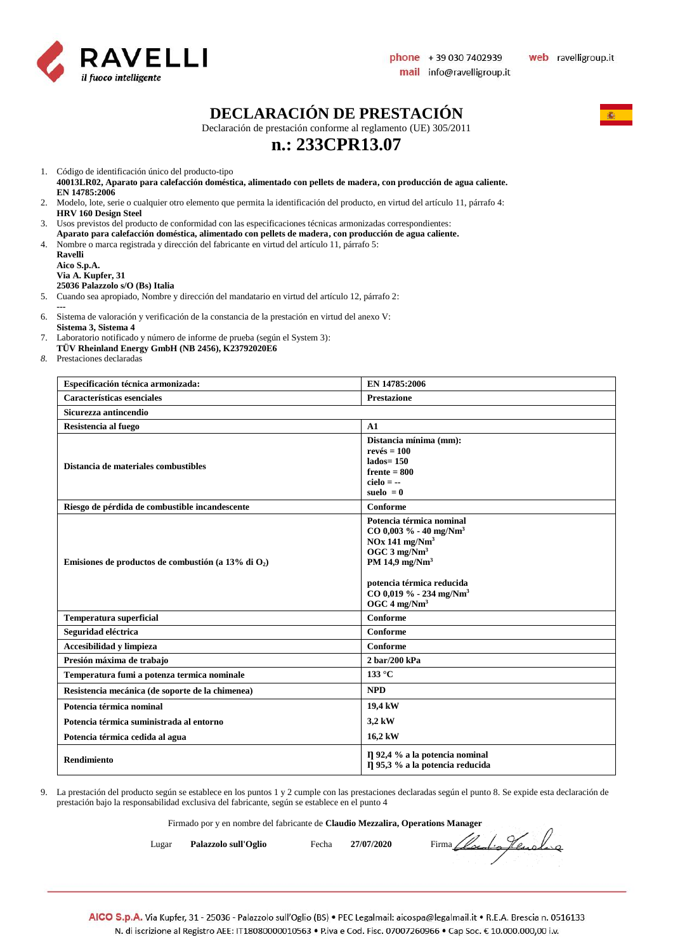

### **DECLARACIÓN DE PRESTACIÓN**

Declaración de prestación conforme al reglamento (UE) 305/2011

## **n.: 233CPR13.07**

1. Código de identificación único del producto-tipo

- **40013LR02, Aparato para calefacción doméstica, alimentado con pellets de madera, con producción de agua caliente. EN 14785:2006**
- 2. Modelo, lote, serie o cualquier otro elemento que permita la identificación del producto, en virtud del artículo 11, párrafo 4: **HRV 160 Design Steel**
- 3. Usos previstos del producto de conformidad con las especificaciones técnicas armonizadas correspondientes:
- **Aparato para calefacción doméstica, alimentado con pellets de madera, con producción de agua caliente.**
- 4. Nombre o marca registrada y dirección del fabricante en virtud del artículo 11, párrafo 5:

| Ravelli                         |
|---------------------------------|
| Aico S.p.A.                     |
| Via A. Kupfer, 31               |
| 25036 Palazzolo s/O (Bs) Italia |

- 5. Cuando sea apropiado, Nombre y dirección del mandatario en virtud del artículo 12, párrafo 2:
- **---**
- 6. Sistema de valoración y verificación de la constancia de la prestación en virtud del anexo V: **Sistema 3, Sistema 4**
- 7. Laboratorio notificado y número de informe de prueba (según el System 3):
- **TÜV Rheinland Energy GmbH (NB 2456), K23792020E6**
- *8.* Prestaciones declaradas

| Especificación técnica armonizada:                     | EN 14785:2006                                                                                                                                                                                                                                       |  |  |  |
|--------------------------------------------------------|-----------------------------------------------------------------------------------------------------------------------------------------------------------------------------------------------------------------------------------------------------|--|--|--|
| Características esenciales                             | <b>Prestazione</b>                                                                                                                                                                                                                                  |  |  |  |
| Sicurezza antincendio                                  |                                                                                                                                                                                                                                                     |  |  |  |
| Resistencia al fuego                                   | A1                                                                                                                                                                                                                                                  |  |  |  |
| Distancia de materiales combustibles                   | Distancia mínima (mm):<br>$rev\acute{e}s = 100$<br>$lados = 150$<br>$f$ rente = 800<br>$cielo = -$<br>suelo $= 0$                                                                                                                                   |  |  |  |
| Riesgo de pérdida de combustible incandescente         | Conforme                                                                                                                                                                                                                                            |  |  |  |
| Emisiones de productos de combustión (a 13% di $O_2$ ) | Potencia térmica nominal<br>$CO$ 0,003 % - 40 mg/Nm <sup>3</sup><br>$NOx$ 141 mg/ $Nm3$<br>OGC $3 \text{ mg}/\text{Nm}^3$<br>PM 14,9 $mg/Nm3$<br>potencia térmica reducida<br>CO 0,019 % - 234 mg/Nm <sup>3</sup><br>OGC $4 \text{ mg}/\text{Nm}^3$ |  |  |  |
| <b>Temperatura superficial</b>                         | Conforme                                                                                                                                                                                                                                            |  |  |  |
| Seguridad eléctrica                                    | <b>Conforme</b>                                                                                                                                                                                                                                     |  |  |  |
| Accesibilidad y limpieza                               | Conforme                                                                                                                                                                                                                                            |  |  |  |
| Presión máxima de trabajo                              | 2 bar/200 kPa                                                                                                                                                                                                                                       |  |  |  |
| Temperatura fumi a potenza termica nominale            | $133^{\circ}$ C                                                                                                                                                                                                                                     |  |  |  |
| Resistencia mecánica (de soporte de la chimenea)       | <b>NPD</b>                                                                                                                                                                                                                                          |  |  |  |
| Potencia térmica nominal                               | 19,4 kW                                                                                                                                                                                                                                             |  |  |  |
| Potencia térmica suministrada al entorno               | 3,2 kW                                                                                                                                                                                                                                              |  |  |  |
| Potencia térmica cedida al agua                        | 16,2 kW                                                                                                                                                                                                                                             |  |  |  |
| <b>Rendimiento</b>                                     | Il 92,4 % a la potencia nominal<br>Il 95,3 % a la potencia reducida                                                                                                                                                                                 |  |  |  |

9. La prestación del producto según se establece en los puntos 1 y 2 cumple con las prestaciones declaradas según el punto 8. Se expide esta declaración de prestación bajo la responsabilidad exclusiva del fabricante, según se establece en el punto 4

Firmado por y en nombre del fabricante de **Claudio Mezzalira, Operations Manager**

Lugar **Palazzolo sull'Oglio** Fecha 27/07/2020 Firma *Local de Jeuda* qu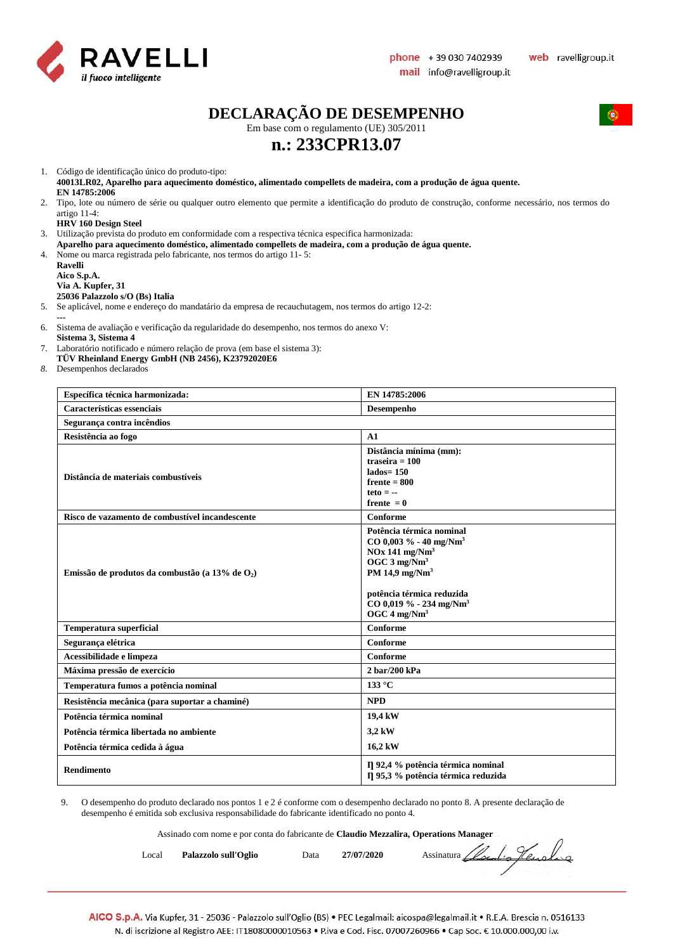

 $\sqrt{2}$ 

### **DECLARAÇÃO DE DESEMPENHO**

Em base com o regulamento (UE) 305/2011

## **n.: 233CPR13.07**

1. Código de identificação único do produto-tipo:

**40013LR02, Aparelho para aquecimento doméstico, alimentado compellets de madeira, com a produção de água quente. EN 14785:2006**

2. Tipo, lote ou número de série ou qualquer outro elemento que permite a identificação do produto de construção, conforme necessário, nos termos do artigo 11-4:

#### **HRV 160 Design Steel**

3. Utilização prevista do produto em conformidade com a respectiva técnica especifica harmonizada:

**Aparelho para aquecimento doméstico, alimentado compellets de madeira, com a produção de água quente.** 4. Nome ou marca registrada pelo fabricante, nos termos do artigo 11- 5:

**Ravelli Aico S.p.A. Via A. Kupfer, 31**

#### **25036 Palazzolo s/O (Bs) Italia**

5. Se aplicável, nome e endereço do mandatário da empresa de recauchutagem, nos termos do artigo 12-2:

**---**

6. Sistema de avaliação e verificação da regularidade do desempenho, nos termos do anexo V: **Sistema 3, Sistema 4** 

- 7. Laboratório notificado e número relação de prova (em base el sistema 3):
- **TÜV Rheinland Energy GmbH (NB 2456), K23792020E6**

*8.* Desempenhos declarados

| Específica técnica harmonizada:                    | EN 14785:2006                                                                                                                                                                                                                                             |  |
|----------------------------------------------------|-----------------------------------------------------------------------------------------------------------------------------------------------------------------------------------------------------------------------------------------------------------|--|
| Características essenciais                         | Desempenho                                                                                                                                                                                                                                                |  |
| Segurança contra incêndios                         |                                                                                                                                                                                                                                                           |  |
| Resistência ao fogo                                | A1                                                                                                                                                                                                                                                        |  |
| Distância de materiais combustíveis                | Distância mínima (mm):<br>traseira $= 100$<br>$lados = 150$<br>$f$ rente = 800<br>$teto = -$<br>frente $= 0$                                                                                                                                              |  |
| Risco de vazamento de combustível incandescente    | Conforme                                                                                                                                                                                                                                                  |  |
| Emissão de produtos da combustão (a 13% de $O_2$ ) | Potência térmica nominal<br>$CO$ 0,003 % - 40 mg/Nm <sup>3</sup><br>$NOx$ 141 mg/ $Nm3$<br>OGC 3 mg/Nm <sup>3</sup><br>PM 14,9 mg/Nm <sup>3</sup><br>potência térmica reduzida<br>$CO$ 0,019 % - 234 mg/Nm <sup>3</sup><br>OGC $4 \text{ mg}/\text{Nm}^3$ |  |
| <b>Temperatura superficial</b>                     | <b>Conforme</b>                                                                                                                                                                                                                                           |  |
| Segurança elétrica                                 | Conforme                                                                                                                                                                                                                                                  |  |
| Acessibilidade e limpeza                           | Conforme                                                                                                                                                                                                                                                  |  |
| Máxima pressão de exercício                        | 2 bar/200 kPa                                                                                                                                                                                                                                             |  |
| Temperatura fumos a potência nominal               | $133^{\circ}$ C                                                                                                                                                                                                                                           |  |
| Resistência mecânica (para suportar a chaminé)     | <b>NPD</b>                                                                                                                                                                                                                                                |  |
| Potência térmica nominal                           | 19,4 kW                                                                                                                                                                                                                                                   |  |
| Potência térmica libertada no ambiente             | 3,2 kW                                                                                                                                                                                                                                                    |  |
| Potência térmica cedida à água                     | 16,2 kW                                                                                                                                                                                                                                                   |  |
| <b>Rendimento</b>                                  | I] 92,4 % potência térmica nominal<br>Il 95,3 % potência térmica reduzida                                                                                                                                                                                 |  |

9. O desempenho do produto declarado nos pontos 1 e 2 é conforme com o desempenho declarado no ponto 8. A presente declaração de desempenho é emitida sob exclusiva responsabilidade do fabricante identificado no ponto 4.

Assinado com nome e por conta do fabricante de **Claudio Mezzalira, Operations Manager**

| Local | Palazzolo sull'Oglio | Data | 27/07/2020 | Assinatura Cloudio Henoling |
|-------|----------------------|------|------------|-----------------------------|
|-------|----------------------|------|------------|-----------------------------|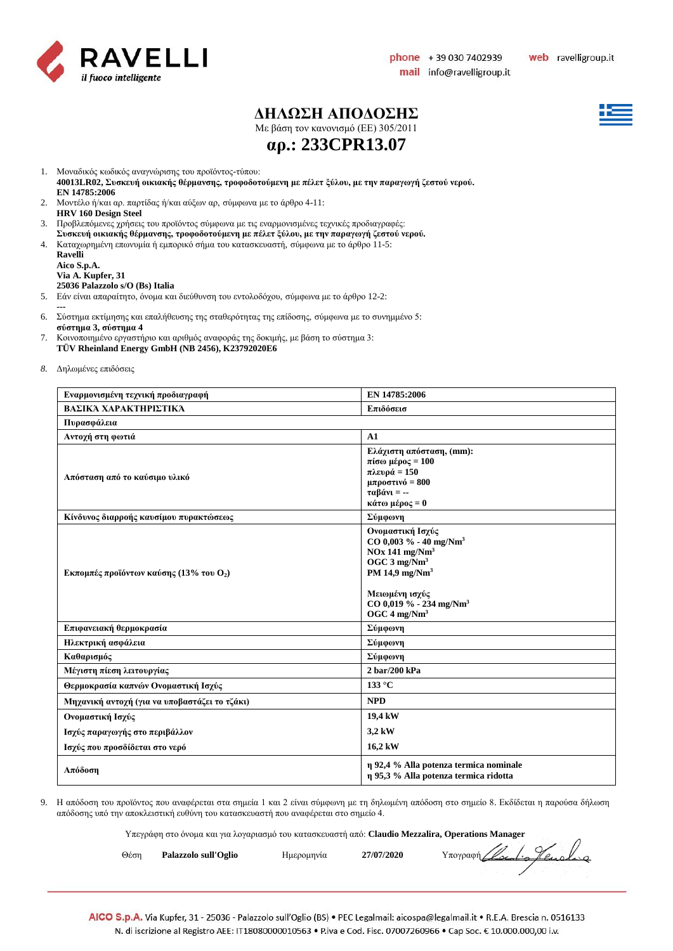

### **ΔΗΛΩΣΗ ΑΠΟΔΟΣΗΣ**

Με βάση τον κανονισμό (ΕE) 305/2011



**αρ.: 233CPR13.07**

1. Μοναδικός κωδικός αναγνώρισης του προϊόντος-τύπου:

**40013LR02, Συσκευή οικιακής θέρμανσης, τροφοδοτούμενη με πέλετ ξύλου, με την παραγωγή ζεστού νερού. EN 14785:2006**

- 2. Μοντέλο ή/και αρ. παρτίδας ή/και αύξων αρ, σύμφωνα με το άρθρο 4-11: **HRV 160 Design Steel**
- 3. Προβλεπόμενες χρήσεις του προϊόντος σύμφωνα με τις εναρμονισμένες τεχνικές προδιαγραφές:
- **Συσκευή οικιακής θέρμανσης, τροφοδοτούμενη με πέλετ ξύλου, με την παραγωγή ζεστού νερού.**
- 4. Καταχωρημένη επωνυμία ή εμπορικό σήμα του κατασκευαστή, σύμφωνα με το άρθρο 11-5:

| Ravelli                         |
|---------------------------------|
| Aico S.p.A.                     |
| Via A. Kupfer, 31               |
| 25036 Palazzolo s/O (Bs) Italia |

- 5. Εάν είναι απαραίτητο, όνομα και διεύθυνση του εντολοδόχου, σύμφωνα με το άρθρο 12-2:
- **---** 6. Σύστημα εκτίμησης και επαλήθευσης της σταθερότητας της επίδοσης, σύμφωνα με το συνημμένο 5: **σύστημα 3, σύστημα 4**
- 7. Κοινοποιημένο εργαστήριο και αριθμός αναφοράς της δοκιμής, με βάση το σύστημα 3: **TÜV Rheinland Energy GmbH (NB 2456), K23792020E6**
- *8.* Δηλωμένες επιδόσεις

| Εναρμονισμένη τεχνική προδιαγραφή                           | EN 14785:2006                                                                                                                                                                                                                                |  |  |  |
|-------------------------------------------------------------|----------------------------------------------------------------------------------------------------------------------------------------------------------------------------------------------------------------------------------------------|--|--|--|
| ΒΑΣΙΚΆ ΧΑΡΑΚΤΗΡΙΣΤΙΚΆ                                       | Επιδόσεισ                                                                                                                                                                                                                                    |  |  |  |
| Πυρασφάλεια                                                 |                                                                                                                                                                                                                                              |  |  |  |
| Αντοχή στη φωτιά                                            | A1                                                                                                                                                                                                                                           |  |  |  |
| Απόσταση από το καύσιμο υλικό                               | Ελάχιστη απόσταση, (mm):<br>πίσω μέρος = $100$<br>πλευρά = 150<br>μπροστινό = $800$<br>$ταβάνι = -$<br>κάτω μέρος = 0                                                                                                                        |  |  |  |
| Κίνδυνος διαρροής καυσίμου πυρακτώσεως                      | Σύμφωνη                                                                                                                                                                                                                                      |  |  |  |
| <b>Εκπομπές προϊόντων καύσης (13% του <math>O_2</math>)</b> | Ονομαστική Ισχύς<br>$CO$ 0,003 % - 40 mg/Nm <sup>3</sup><br>$NOx$ 141 mg/ $Nm3$<br>OGC $3 \text{ mg}/\text{Nm}^3$<br>PM 14,9 mg/Nm <sup>3</sup><br>Μειωμένη ισχύς<br>$CO$ 0,019 % - 234 mg/Nm <sup>3</sup><br>OGC $4 \text{ mg}/\text{Nm}^3$ |  |  |  |
| Επιφανειακή θερμοκρασία                                     | Σύμφωνη                                                                                                                                                                                                                                      |  |  |  |
| Ηλεκτρική ασφάλεια                                          | Σύμφωνη                                                                                                                                                                                                                                      |  |  |  |
| Καθαρισμός                                                  | Σύμφωνη                                                                                                                                                                                                                                      |  |  |  |
| Μέγιστη πίεση λειτουργίας                                   | $2 \frac{\text{bar}}{200}$ kPa                                                                                                                                                                                                               |  |  |  |
| Θερμοκρασία καπνών Ονομαστική Ισχύς                         | 133 °C                                                                                                                                                                                                                                       |  |  |  |
| Μηχανική αντοχή (για να υποβαστάζει το τζάκι)               | <b>NPD</b>                                                                                                                                                                                                                                   |  |  |  |
| Ονομαστική Ισχύς                                            | 19,4 kW                                                                                                                                                                                                                                      |  |  |  |
| Ισχύς παραγωγής στο περιβάλλον                              | 3,2 kW                                                                                                                                                                                                                                       |  |  |  |
| Ισχύς που προσδίδεται στο νερό                              | 16,2 kW                                                                                                                                                                                                                                      |  |  |  |
| Απόδοση                                                     | η 92,4 % Alla potenza termica nominale<br>η 95,3 % Alla potenza termica ridotta                                                                                                                                                              |  |  |  |

9. Η απόδοση του προϊόντος που αναφέρεται στα σημεία 1 και 2 είναι σύμφωνη με τη δηλωμένη απόδοση στο σημείο 8. Εκδίδεται η παρούσα δήλωση απόδοσης υπό την αποκλειστική ευθύνη του κατασκευαστή που αναφέρεται στο σημείο 4.

Υπεγράφη στο όνομα και για λογαριασμό του κατασκευαστή από: **Claudio Mezzalira, Operations Manager**

|      | . |                      |  |            |            |                            |
|------|---|----------------------|--|------------|------------|----------------------------|
| Θέση |   | Palazzolo sull'Oglio |  | Ημερομηνία | 27/07/2020 | Yπoypagn Clocolio Henoling |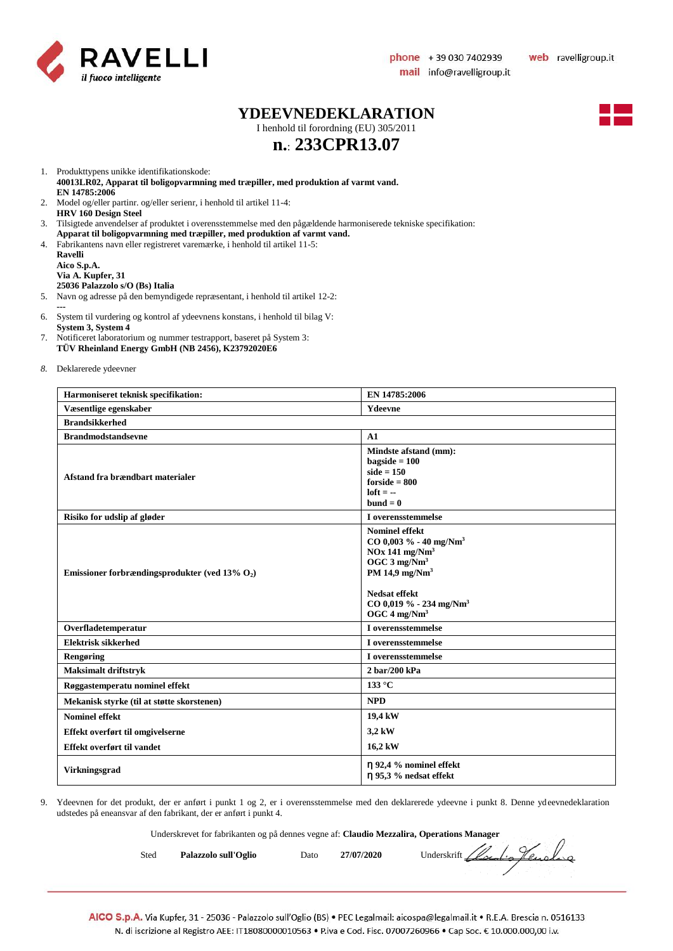

#### **YDEEVNEDEKLARATION**

I henhold til forordning (EU) 305/2011



# **n.**: **233CPR13.07**

1. Produkttypens unikke identifikationskode:

**40013LR02, Apparat til boligopvarmning med træpiller, med produktion af varmt vand. EN 14785:2006**

- 2. Model og/eller partinr. og/eller serienr, i henhold til artikel 11-4: **HRV 160 Design Steel**
- 3. Tilsigtede anvendelser af produktet i overensstemmelse med den pågældende harmoniserede tekniske specifikation:
- **Apparat til boligopvarmning med træpiller, med produktion af varmt vand.**
- 4. Fabrikantens navn eller registreret varemærke, i henhold til artikel 11-5:

**Ravelli Aico S.p.A. Via A. Kupfer, 31 25036 Palazzolo s/O (Bs) Italia**

- 5. Navn og adresse på den bemyndigede repræsentant, i henhold til artikel 12-2: **---**
- 6. System til vurdering og kontrol af ydeevnens konstans, i henhold til bilag V: **System 3, System 4**
- 7. Notificeret laboratorium og nummer testrapport, baseret på System 3: **TÜV Rheinland Energy GmbH (NB 2456), K23792020E6**
- *8.* Deklarerede ydeevner

| Harmoniseret teknisk specifikation:               | EN 14785:2006                                                                                                                                                                                                                     |  |  |  |
|---------------------------------------------------|-----------------------------------------------------------------------------------------------------------------------------------------------------------------------------------------------------------------------------------|--|--|--|
| Væsentlige egenskaber                             | <b>Ydeevne</b>                                                                                                                                                                                                                    |  |  |  |
| <b>Brandsikkerhed</b>                             |                                                                                                                                                                                                                                   |  |  |  |
| <b>Brandmodstandsevne</b>                         | A1                                                                                                                                                                                                                                |  |  |  |
| Afstand fra brændbart materialer                  | Mindste afstand (mm):<br>$bagside = 100$<br>side $= 150$<br>$for side = 800$<br>$left = -$<br>$bund = 0$                                                                                                                          |  |  |  |
| Risiko for udslip af gløder                       | I overensstemmelse                                                                                                                                                                                                                |  |  |  |
| Emissioner forbrændingsprodukter (ved 13% $O_2$ ) | <b>Nominel effekt</b><br>$CO$ 0,003 % - 40 mg/Nm <sup>3</sup><br>$NOx$ 141 mg/ $Nm3$<br>OGC $3$ mg/Nm <sup>3</sup><br>PM 14,9 mg/ $Nm3$<br>Nedsat effekt<br>CO 0,019 % - 234 mg/Nm <sup>3</sup><br>OGC $4 \text{ mg}/\text{Nm}^3$ |  |  |  |
| Overfladetemperatur                               | I overensstemmelse                                                                                                                                                                                                                |  |  |  |
| <b>Elektrisk sikkerhed</b>                        | I overensstemmelse                                                                                                                                                                                                                |  |  |  |
| Rengøring                                         | I overensstemmelse                                                                                                                                                                                                                |  |  |  |
| <b>Maksimalt driftstryk</b>                       | $2 \frac{\text{bar}}{200}$ kPa                                                                                                                                                                                                    |  |  |  |
| Røggastemperatu nominel effekt                    | 133 °C                                                                                                                                                                                                                            |  |  |  |
| Mekanisk styrke (til at støtte skorstenen)        | <b>NPD</b>                                                                                                                                                                                                                        |  |  |  |
| <b>Nominel effekt</b>                             | 19,4 kW                                                                                                                                                                                                                           |  |  |  |
| Effekt overført til omgivelserne                  | 3,2 kW                                                                                                                                                                                                                            |  |  |  |
| Effekt overført til vandet                        | 16,2 kW                                                                                                                                                                                                                           |  |  |  |
| <b>Virkningsgrad</b>                              | n 92,4 % nominel effekt<br>$\eta$ 95,3 % nedsat effekt                                                                                                                                                                            |  |  |  |

9. Ydeevnen for det produkt, der er anført i punkt 1 og 2, er i overensstemmelse med den deklarerede ydeevne i punkt 8. Denne ydeevnedeklaration udstedes på eneansvar af den fabrikant, der er anført i punkt 4.

Underskrevet for fabrikanten og på dennes vegne af: **Claudio Mezzalira, Operations Manager**

| Sted | Palazzolo sull'Oglio | Dato | 27/07/2020 | Underskrift Clocolis Hensling |
|------|----------------------|------|------------|-------------------------------|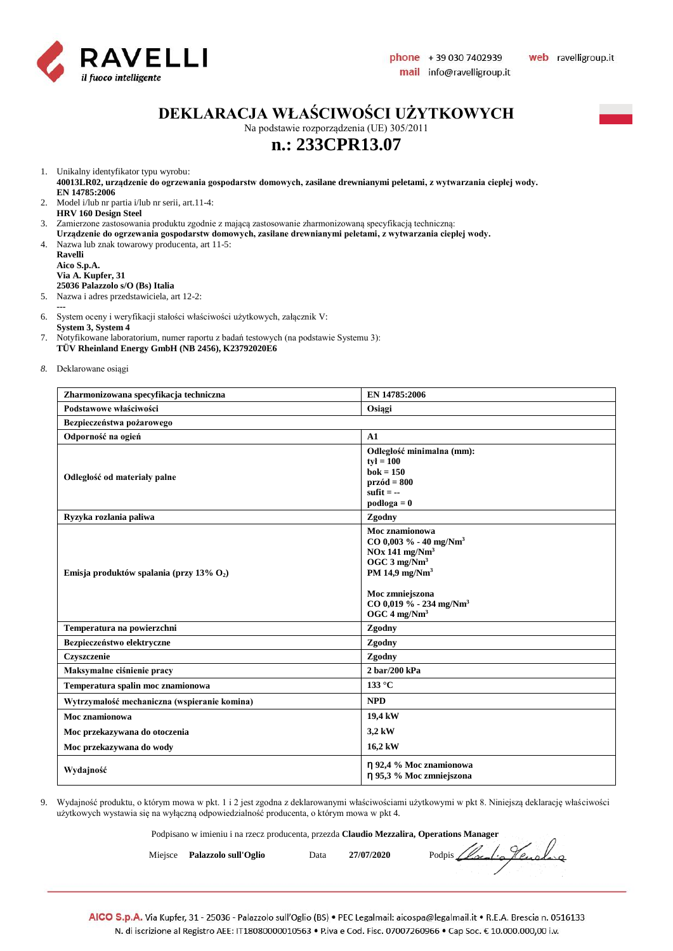

## **DEKLARACJA WŁAŚCIWOŚCI UŻYTKOWYCH**

Na podstawie rozporządzenia (UE) 305/2011

## **n.: 233CPR13.07**

1. Unikalny identyfikator typu wyrobu:

**40013LR02, urządzenie do ogrzewania gospodarstw domowych, zasilane drewnianymi peletami, z wytwarzania ciepłej wody. EN 14785:2006**

2. Model i/lub nr partia i/lub nr serii, art.11-4: **HRV 160 Design Steel**

3. Zamierzone zastosowania produktu zgodnie z mającą zastosowanie zharmonizowaną specyfikacją techniczną:

- **Urządzenie do ogrzewania gospodarstw domowych, zasilane drewnianymi peletami, z wytwarzania ciepłej wody.**
- 4. Nazwa lub znak towarowy producenta, art 11-5:

**Ravelli Aico S.p.A. Via A. Kupfer, 31 25036 Palazzolo s/O (Bs) Italia**

5. Nazwa i adres przedstawiciela, art 12-2:

**---**

6. System oceny i weryfikacji stałości właściwości użytkowych, załącznik V:

**System 3, System 4**

- 7. Notyfikowane laboratorium, numer raportu z badań testowych (na podstawie Systemu 3): **TÜV Rheinland Energy GmbH (NB 2456), K23792020E6**
- *8.* Deklarowane osiągi

| Zharmonizowana specyfikacja techniczna       | EN 14785:2006                                                                                                                                                                                                                           |  |  |  |
|----------------------------------------------|-----------------------------------------------------------------------------------------------------------------------------------------------------------------------------------------------------------------------------------------|--|--|--|
| Podstawowe właściwości                       | Osiągi                                                                                                                                                                                                                                  |  |  |  |
| Bezpieczeństwa pożarowego                    |                                                                                                                                                                                                                                         |  |  |  |
| Odporność na ogień                           | A1                                                                                                                                                                                                                                      |  |  |  |
| Odległość od materiały palne                 | Odległość minimalna (mm):<br>$tv = 100$<br>$bok = 150$<br>$przód = 800$<br>sufit $= -$<br>$podloga = 0$                                                                                                                                 |  |  |  |
| Ryzyka rozlania paliwa                       | Zgodny                                                                                                                                                                                                                                  |  |  |  |
| Emisja produktów spalania (przy 13% $O_2$ )  | Moc znamionowa<br>$CO$ 0,003 % - 40 mg/Nm <sup>3</sup><br>$NOx$ 141 mg/ $Nm3$<br>OGC $3$ mg/Nm <sup>3</sup><br>PM 14,9 mg/Nm <sup>3</sup><br>Moc zmniejszona<br>$CO$ 0,019 % - 234 mg/Nm <sup>3</sup><br>OGC $4 \text{ mg}/\text{Nm}^3$ |  |  |  |
| Temperatura na powierzchni                   | Zgodny                                                                                                                                                                                                                                  |  |  |  |
| Bezpieczeństwo elektryczne                   | Zgodny                                                                                                                                                                                                                                  |  |  |  |
| Czyszczenie                                  | Zgodny                                                                                                                                                                                                                                  |  |  |  |
| Maksymalne ciśnienie pracy                   | 2 bar/200 kPa                                                                                                                                                                                                                           |  |  |  |
| Temperatura spalin moc znamionowa            | 133 °C                                                                                                                                                                                                                                  |  |  |  |
| Wytrzymałość mechaniczna (wspieranie komina) | <b>NPD</b>                                                                                                                                                                                                                              |  |  |  |
| Moc znamionowa                               | 19,4 kW                                                                                                                                                                                                                                 |  |  |  |
| Moc przekazywana do otoczenia                | 3,2 kW                                                                                                                                                                                                                                  |  |  |  |
| Moc przekazywana do wody                     | 16,2 kW                                                                                                                                                                                                                                 |  |  |  |
| Wydajność                                    | n 92,4 % Moc znamionowa<br>η 95,3 % Moc zmniejszona                                                                                                                                                                                     |  |  |  |

9. Wydajność produktu, o którym mowa w pkt. 1 i 2 jest zgodna z deklarowanymi właściwościami użytkowymi w pkt 8. Niniejszą deklarację właściwości użytkowych wystawia się na wyłączną odpowiedzialność producenta, o którym mowa w pkt 4.

Podpisano w imieniu i na rzecz producenta, przezda **Claudio Mezzalira, Operations Manager**

Miejsce **Palazzolo sull'Oglio** Data **27/07/2020** Podpis *Local: Jeunela*